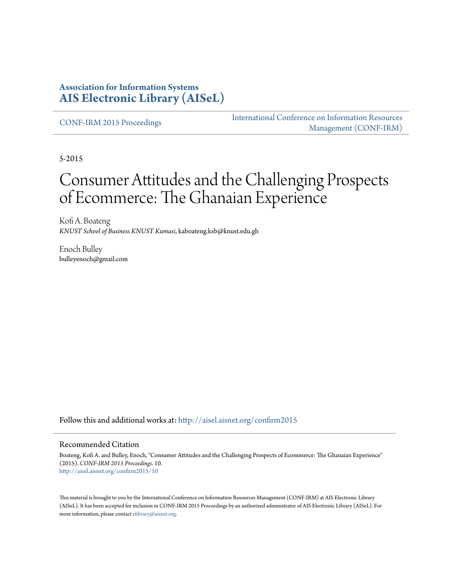### **Association for Information Systems [AIS Electronic Library \(AISeL\)](http://aisel.aisnet.org?utm_source=aisel.aisnet.org%2Fconfirm2015%2F10&utm_medium=PDF&utm_campaign=PDFCoverPages)**

[CONF-IRM 2015 Proceedings](http://aisel.aisnet.org/confirm2015?utm_source=aisel.aisnet.org%2Fconfirm2015%2F10&utm_medium=PDF&utm_campaign=PDFCoverPages)

[International Conference on Information Resources](http://aisel.aisnet.org/conf-irm?utm_source=aisel.aisnet.org%2Fconfirm2015%2F10&utm_medium=PDF&utm_campaign=PDFCoverPages) [Management \(CONF-IRM\)](http://aisel.aisnet.org/conf-irm?utm_source=aisel.aisnet.org%2Fconfirm2015%2F10&utm_medium=PDF&utm_campaign=PDFCoverPages)

5-2015

# Consumer Attitudes and the Challenging Prospects of Ecommerce: The Ghanaian Experience

Kofi A. Boateng *KNUST School of Business KNUST Kumasi*, kaboateng.ksb@knust.edu.gh

Enoch Bulley bulleyenoch@gmail.com

Follow this and additional works at: [http://aisel.aisnet.org/confirm2015](http://aisel.aisnet.org/confirm2015?utm_source=aisel.aisnet.org%2Fconfirm2015%2F10&utm_medium=PDF&utm_campaign=PDFCoverPages)

#### Recommended Citation

Boateng, Kofi A. and Bulley, Enoch, "Consumer Attitudes and the Challenging Prospects of Ecommerce: The Ghanaian Experience" (2015). *CONF-IRM 2015 Proceedings*. 10. [http://aisel.aisnet.org/confirm2015/10](http://aisel.aisnet.org/confirm2015/10?utm_source=aisel.aisnet.org%2Fconfirm2015%2F10&utm_medium=PDF&utm_campaign=PDFCoverPages)

This material is brought to you by the International Conference on Information Resources Management (CONF-IRM) at AIS Electronic Library (AISeL). It has been accepted for inclusion in CONF-IRM 2015 Proceedings by an authorized administrator of AIS Electronic Library (AISeL). For more information, please contact [elibrary@aisnet.org.](mailto:elibrary@aisnet.org%3E)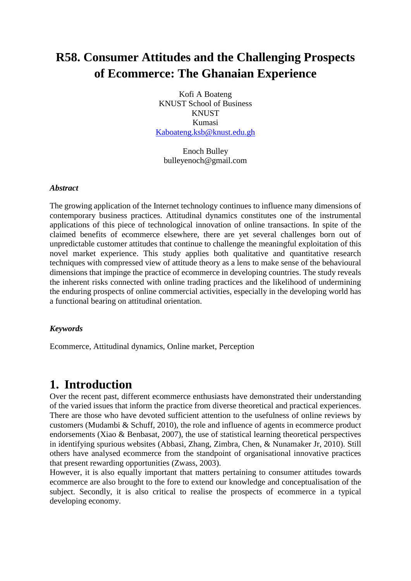## **R58. Consumer Attitudes and the Challenging Prospects of Ecommerce: The Ghanaian Experience**

Kofi A Boateng KNUST School of Business **KNUST** Kumasi [Kaboateng.ksb@knust.edu.gh](mailto:Kaboateng.ksb@knust.edu.gh)

Enoch Bulley bulleyenoch@gmail.com

#### *Abstract*

The growing application of the Internet technology continues to influence many dimensions of contemporary business practices. Attitudinal dynamics constitutes one of the instrumental applications of this piece of technological innovation of online transactions. In spite of the claimed benefits of ecommerce elsewhere, there are yet several challenges born out of unpredictable customer attitudes that continue to challenge the meaningful exploitation of this novel market experience. This study applies both qualitative and quantitative research techniques with compressed view of attitude theory as a lens to make sense of the behavioural dimensions that impinge the practice of ecommerce in developing countries. The study reveals the inherent risks connected with online trading practices and the likelihood of undermining the enduring prospects of online commercial activities, especially in the developing world has a functional bearing on attitudinal orientation.

#### *Keywords*

Ecommerce, Attitudinal dynamics, Online market, Perception

## **1. Introduction**

Over the recent past, different ecommerce enthusiasts have demonstrated their understanding of the varied issues that inform the practice from diverse theoretical and practical experiences. There are those who have devoted sufficient attention to the usefulness of online reviews by customers [\(Mudambi & Schuff, 2010\)](#page-13-0), the role and influence of agents in ecommerce product endorsements [\(Xiao & Benbasat, 2007\)](#page-13-1), the use of statistical learning theoretical perspectives in identifying spurious websites [\(Abbasi, Zhang, Zimbra, Chen, & Nunamaker Jr, 2010\)](#page-12-0). Still others have analysed ecommerce from the standpoint of organisational innovative practices that present rewarding opportunities [\(Zwass,](#page-13-2) 2003).

However, it is also equally important that matters pertaining to consumer attitudes towards ecommerce are also brought to the fore to extend our knowledge and conceptualisation of the subject. Secondly, it is also critical to realise the prospects of ecommerce in a typical developing economy.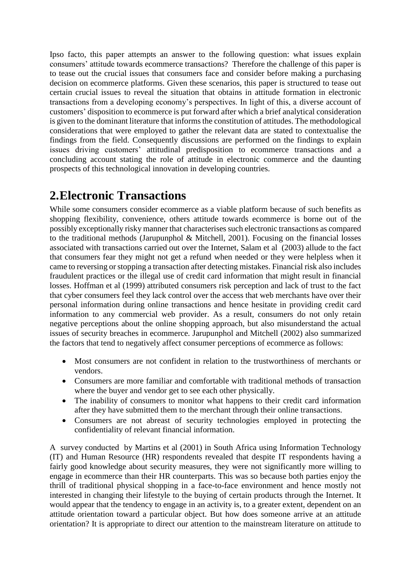Ipso facto, this paper attempts an answer to the following question: what issues explain consumers' attitude towards ecommerce transactions? Therefore the challenge of this paper is to tease out the crucial issues that consumers face and consider before making a purchasing decision on ecommerce platforms. Given these scenarios, this paper is structured to tease out certain crucial issues to reveal the situation that obtains in attitude formation in electronic transactions from a developing economy's perspectives. In light of this, a diverse account of customers' disposition to ecommerce is put forward after which a brief analytical consideration is given to the dominant literature that informs the constitution of attitudes. The methodological considerations that were employed to gather the relevant data are stated to contextualise the findings from the field. Consequently discussions are performed on the findings to explain issues driving customers' attitudinal predisposition to ecommerce transactions and a concluding account stating the role of attitude in electronic commerce and the daunting prospects of this technological innovation in developing countries.

## **2.Electronic Transactions**

While some consumers consider ecommerce as a viable platform because of such benefits as shopping flexibility, convenience, others attitude towards ecommerce is borne out of the possibly exceptionally risky manner that characterises such electronic transactions as compared to the traditional methods [\(Jarupunphol & Mitchell, 2001\)](#page-13-3). Focusing on the financial losses associated with transactions carried out over the Internet, Salam et al [\(2003\)](#page-13-4) allude to the fact that consumers fear they might not get a refund when needed or they were helpless when it came to reversing or stopping a transaction after detecting mistakes. Financial risk also includes fraudulent practices or the illegal use of credit card information that might result in financial losses. Hoffman et al [\(1999\)](#page-13-5) attributed consumers risk perception and lack of trust to the fact that cyber consumers feel they lack control over the access that web merchants have over their personal information during online transactions and hence hesitate in providing credit card information to any commercial web provider. As a result, consumers do not only retain negative perceptions about the online shopping approach, but also misunderstand the actual issues of security breaches in ecommerce. Jarupunphol and Mitchell [\(2002\)](#page-13-6) also summarized the factors that tend to negatively affect consumer perceptions of ecommerce as follows:

- Most consumers are not confident in relation to the trustworthiness of merchants or vendors.
- Consumers are more familiar and comfortable with traditional methods of transaction where the buyer and vendor get to see each other physically.
- The inability of consumers to monitor what happens to their credit card information after they have submitted them to the merchant through their online transactions.
- Consumers are not abreast of security technologies employed in protecting the confidentiality of relevant financial information.

A survey conducted by Martins et al [\(2001\)](#page-13-7) in South Africa using Information Technology (IT) and Human Resource (HR) respondents revealed that despite IT respondents having a fairly good knowledge about security measures, they were not significantly more willing to engage in ecommerce than their HR counterparts. This was so because both parties enjoy the thrill of traditional physical shopping in a face-to-face environment and hence mostly not interested in changing their lifestyle to the buying of certain products through the Internet. It would appear that the tendency to engage in an activity is, to a greater extent, dependent on an attitude orientation toward a particular object. But how does someone arrive at an attitude orientation? It is appropriate to direct our attention to the mainstream literature on attitude to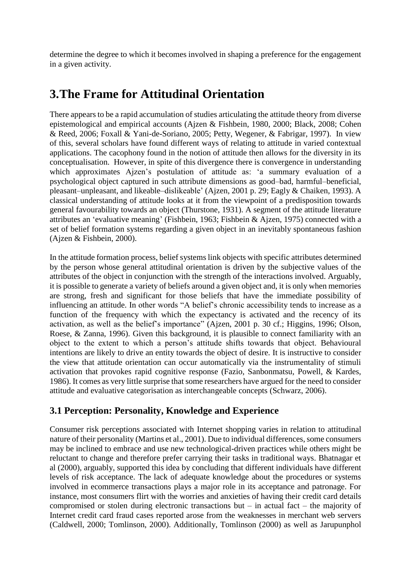determine the degree to which it becomes involved in shaping a preference for the engagement in a given activity.

## **3.The Frame for Attitudinal Orientation**

There appears to be a rapid accumulation of studies articulating the attitude theory from diverse epistemological and empirical accounts [\(Ajzen & Fishbein, 1980,](#page-12-1) [2000;](#page-12-2) [Black, 2008;](#page-12-3) [Cohen](#page-12-4)  [& Reed, 2006;](#page-12-4) [Foxall & Yani-de-Soriano, 2005;](#page-13-8) [Petty, Wegener, & Fabrigar, 1997\)](#page-13-9). In view of this, several scholars have found different ways of relating to attitude in varied contextual applications. The cacophony found in the notion of attitude then allows for the diversity in its conceptualisation. However, in spite of this divergence there is convergence in understanding which approximates Aizen's postulation of attitude as: 'a summary evaluation of a psychological object captured in such attribute dimensions as good–bad, harmful–beneficial, pleasant–unpleasant, and likeable–dislikeable' [\(Ajzen, 2001 p. 29;](#page-12-5) [Eagly & Chaiken, 1993\)](#page-12-6). A classical understanding of attitude looks at it from the viewpoint of a predisposition towards general favourability towards an object [\(Thurstone, 1931\)](#page-13-10). A segment of the attitude literature attributes an 'evaluative meaning' [\(Fishbein, 1963;](#page-13-11) [Fishbein & Ajzen, 1975\)](#page-13-12) connected with a set of belief formation systems regarding a given object in an inevitably spontaneous fashion [\(Ajzen & Fishbein, 2000\)](#page-12-2).

In the attitude formation process, belief systems link objects with specific attributes determined by the person whose general attitudinal orientation is driven by the subjective values of the attributes of the object in conjunction with the strength of the interactions involved. Arguably, it is possible to generate a variety of beliefs around a given object and, it is only when memories are strong, fresh and significant for those beliefs that have the immediate possibility of influencing an attitude. In other words "A belief's chronic accessibility tends to increase as a function of the frequency with which the expectancy is activated and the recency of its activation, as well as the belief's importance" [\(Ajzen, 2001 p. 30 cf.;](#page-12-5) [Higgins, 1996;](#page-13-13) [Olson,](#page-13-14)  [Roese, & Zanna, 1996\)](#page-13-14). Given this background, it is plausible to connect familiarity with an object to the extent to which a person's attitude shifts towards that object. Behavioural intentions are likely to drive an entity towards the object of desire. It is instructive to consider the view that attitude orientation can occur automatically via the instrumentality of stimuli activation that provokes rapid cognitive response [\(Fazio, Sanbonmatsu, Powell, & Kardes,](#page-13-15)  [1986\)](#page-13-15). It comes as very little surprise that some researchers have argued for the need to consider attitude and evaluative categorisation as interchangeable concepts [\(Schwarz, 2006\)](#page-13-16).

### **3.1 Perception: Personality, Knowledge and Experience**

Consumer risk perceptions associated with Internet shopping varies in relation to attitudinal nature of their personality [\(Martins et al., 2001\)](#page-13-7). Due to individual differences, some consumers may be inclined to embrace and use new technological-driven practices while others might be reluctant to change and therefore prefer carrying their tasks in traditional ways. Bhatnagar et al [\(2000\)](#page-12-7), arguably, supported this idea by concluding that different individuals have different levels of risk acceptance. The lack of adequate knowledge about the procedures or systems involved in ecommerce transactions plays a major role in its acceptance and patronage. For instance, most consumers flirt with the worries and anxieties of having their credit card details compromised or stolen during electronic transactions but – in actual fact – the majority of Internet credit card fraud cases reported arose from the weaknesses in merchant web servers [\(Caldwell, 2000;](#page-12-8) [Tomlinson, 2000\)](#page-13-17). Additionally, Tomlinson [\(2000\)](#page-13-17) as well as Jarupunphol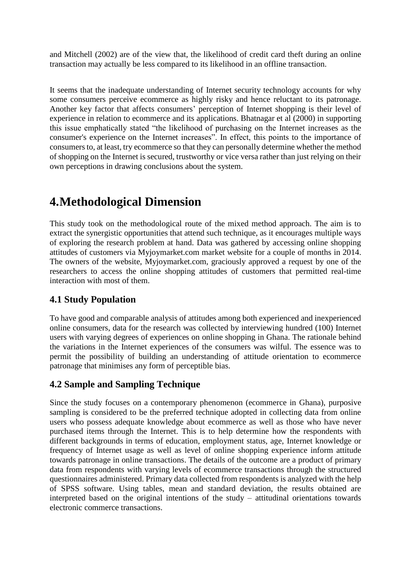and Mitchell [\(2002\)](#page-13-6) are of the view that, the likelihood of credit card theft during an online transaction may actually be less compared to its likelihood in an offline transaction.

It seems that the inadequate understanding of Internet security technology accounts for why some consumers perceive ecommerce as highly risky and hence reluctant to its patronage. Another key factor that affects consumers' perception of Internet shopping is their level of experience in relation to ecommerce and its applications. Bhatnagar et al [\(2000\)](#page-12-7) in supporting this issue emphatically stated "the likelihood of purchasing on the Internet increases as the consumer's experience on the Internet increases". In effect, this points to the importance of consumers to, at least, try ecommerce so that they can personally determine whether the method of shopping on the Internet is secured, trustworthy or vice versa rather than just relying on their own perceptions in drawing conclusions about the system.

## **4.Methodological Dimension**

This study took on the methodological route of the mixed method approach. The aim is to extract the synergistic opportunities that attend such technique, as it encourages multiple ways of exploring the research problem at hand. Data was gathered by accessing online shopping attitudes of customers via Myjoymarket.com market website for a couple of months in 2014. The owners of the website, Myjoymarket.com, graciously approved a request by one of the researchers to access the online shopping attitudes of customers that permitted real-time interaction with most of them.

### **4.1 Study Population**

To have good and comparable analysis of attitudes among both experienced and inexperienced online consumers, data for the research was collected by interviewing hundred (100) Internet users with varying degrees of experiences on online shopping in Ghana. The rationale behind the variations in the Internet experiences of the consumers was wilful. The essence was to permit the possibility of building an understanding of attitude orientation to ecommerce patronage that minimises any form of perceptible bias.

### **4.2 Sample and Sampling Technique**

Since the study focuses on a contemporary phenomenon (ecommerce in Ghana), purposive sampling is considered to be the preferred technique adopted in collecting data from online users who possess adequate knowledge about ecommerce as well as those who have never purchased items through the Internet. This is to help determine how the respondents with different backgrounds in terms of education, employment status, age, Internet knowledge or frequency of Internet usage as well as level of online shopping experience inform attitude towards patronage in online transactions. The details of the outcome are a product of primary data from respondents with varying levels of ecommerce transactions through the structured questionnaires administered. Primary data collected from respondents is analyzed with the help of SPSS software. Using tables, mean and standard deviation, the results obtained are interpreted based on the original intentions of the study – attitudinal orientations towards electronic commerce transactions.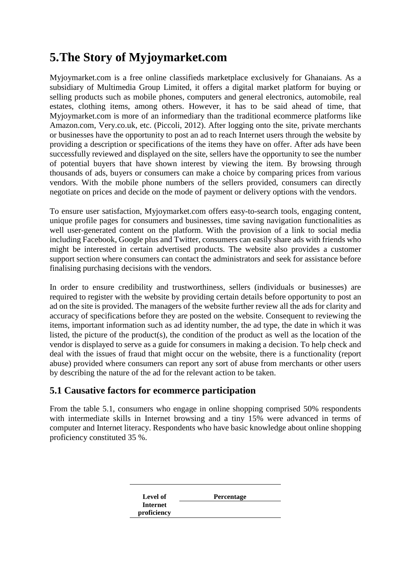## **5.The Story of Myjoymarket.com**

Myjoymarket.com is a free online classifieds marketplace exclusively for Ghanaians. As a subsidiary of Multimedia Group Limited, it offers a digital market platform for buying or selling products such as mobile phones, computers and general electronics, automobile, real estates, clothing items, among others. However, it has to be said ahead of time, that Myjoymarket.com is more of an informediary than the traditional ecommerce platforms like Amazon.com, Very.co.uk, etc. [\(Piccoli, 2012\)](#page-13-18). After logging onto the site, private merchants or businesses have the opportunity to post an ad to reach Internet users through the website by providing a description or specifications of the items they have on offer. After ads have been successfully reviewed and displayed on the site, sellers have the opportunity to see the number of potential buyers that have shown interest by viewing the item. By browsing through thousands of ads, buyers or consumers can make a choice by comparing prices from various vendors. With the mobile phone numbers of the sellers provided, consumers can directly negotiate on prices and decide on the mode of payment or delivery options with the vendors.

To ensure user satisfaction, Myjoymarket.com offers easy-to-search tools, engaging content, unique profile pages for consumers and businesses, time saving navigation functionalities as well user-generated content on the platform. With the provision of a link to social media including Facebook, Google plus and Twitter, consumers can easily share ads with friends who might be interested in certain advertised products. The website also provides a customer support section where consumers can contact the administrators and seek for assistance before finalising purchasing decisions with the vendors.

In order to ensure credibility and trustworthiness, sellers (individuals or businesses) are required to register with the website by providing certain details before opportunity to post an ad on the site is provided. The managers of the website further review all the ads for clarity and accuracy of specifications before they are posted on the website. Consequent to reviewing the items, important information such as ad identity number, the ad type, the date in which it was listed, the picture of the product(s), the condition of the product as well as the location of the vendor is displayed to serve as a guide for consumers in making a decision. To help check and deal with the issues of fraud that might occur on the website, there is a functionality (report abuse) provided where consumers can report any sort of abuse from merchants or other users by describing the nature of the ad for the relevant action to be taken.

### **5.1 Causative factors for ecommerce participation**

From the table 5.1, consumers who engage in online shopping comprised 50% respondents with intermediate skills in Internet browsing and a tiny 15% were advanced in terms of computer and Internet literacy. Respondents who have basic knowledge about online shopping proficiency constituted 35 %.

| Level of        | <b>Percentage</b> |
|-----------------|-------------------|
| <b>Internet</b> |                   |
| proficiency     |                   |
|                 |                   |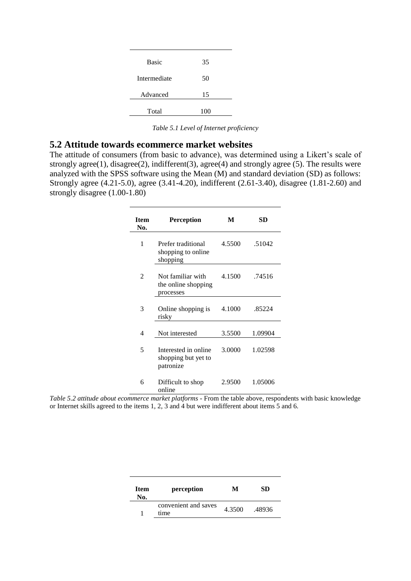| <b>Basic</b> | 35  |
|--------------|-----|
| Intermediate | 50  |
| Advanced     | 15  |
| Total        | 100 |

*Table 5.1 Level of Internet proficiency*

#### **5.2 Attitude towards ecommerce market websites**

The attitude of consumers (from basic to advance), was determined using a Likert's scale of strongly agree(1), disagree(2), indifferent(3), agree(4) and strongly agree (5). The results were analyzed with the SPSS software using the Mean (M) and standard deviation (SD) as follows: Strongly agree (4.21-5.0), agree (3.41-4.20), indifferent (2.61-3.40), disagree (1.81-2.60) and strongly disagree (1.00-1.80)

| <b>Item</b><br>No.          | <b>Perception</b>                                        | M      | SD      |
|-----------------------------|----------------------------------------------------------|--------|---------|
| 1                           | Prefer traditional<br>shopping to online<br>shopping     | 4.5500 | .51042  |
| $\mathcal{D}_{\mathcal{L}}$ | Not familiar with<br>the online shopping<br>processes    | 4.1500 | .74516  |
| 3                           | Online shopping is<br>risky                              | 4.1000 | .85224  |
| $\overline{4}$              | Not interested                                           | 3.5500 | 1.09904 |
| 5                           | Interested in online<br>shopping but yet to<br>patronize | 3.0000 | 1.02598 |
| 6                           | Difficult to shop<br>online                              | 2.9500 | 1.05006 |

*Table 5.2 attitude about ecommerce market platforms -* From the table above, respondents with basic knowledge or Internet skills agreed to the items 1, 2, 3 and 4 but were indifferent about items 5 and 6.

| Item<br>No. | perception                   | М      | SD.    |
|-------------|------------------------------|--------|--------|
|             | convenient and saves<br>time | 4.3500 | .48936 |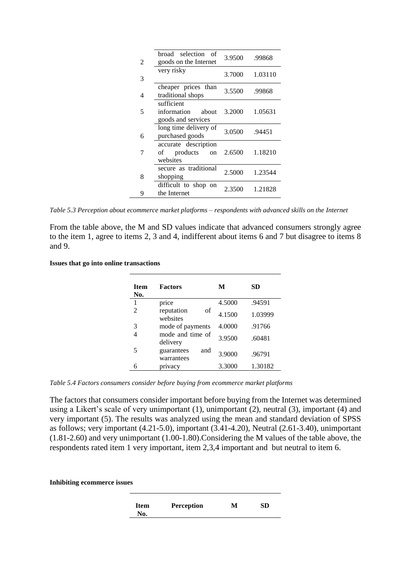| 2 | broad selection<br>- of<br>goods on the Internet         | 3.9500 | .99868  |
|---|----------------------------------------------------------|--------|---------|
| 3 | very risky                                               | 3.7000 | 1.03110 |
| 4 | cheaper prices than<br>traditional shops                 | 3.5500 | .99868  |
| 5 | sufficient<br>information<br>about<br>goods and services | 3.2000 | 1.05631 |
| 6 | long time delivery of<br>purchased goods                 | 3.0500 | .94451  |
|   | accurate description<br>products<br>of<br>on<br>websites | 2.6500 | 1.18210 |
| 8 | secure as traditional<br>shopping                        | 2.5000 | 1.23544 |
| 9 | difficult to shop on<br>the Internet                     | 2.3500 | 1.21828 |

*Table 5.3 Perception about ecommerce market platforms – respondents with advanced skills on the Internet*

From the table above, the M and SD values indicate that advanced consumers strongly agree to the item 1, agree to items 2, 3 and 4, indifferent about items 6 and 7 but disagree to items 8 and 9.

**Issues that go into online transactions** 

| Item<br>No.    | <b>Factors</b>                  | М      | SD      |
|----------------|---------------------------------|--------|---------|
| 1              | price                           | 4.5000 | .94591  |
| $\mathfrak{D}$ | reputation<br>of<br>websites    | 4.1500 | 1.03999 |
| 3              | mode of payments                | 4.0000 | .91766  |
|                | mode and time of<br>delivery    | 3.9500 | .60481  |
| 5              | and<br>guarantees<br>warrantees | 3.9000 | .96791  |
|                | privacy                         | 3.3000 | 1.30182 |

*Table 5.4 Factors consumers consider before buying from ecommerce market platforms*

The factors that consumers consider important before buying from the Internet was determined using a Likert's scale of very unimportant (1), unimportant (2), neutral (3), important (4) and very important (5). The results was analyzed using the mean and standard deviation of SPSS as follows; very important (4.21-5.0), important (3.41-4.20), Neutral (2.61-3.40), unimportant (1.81-2.60) and very unimportant (1.00-1.80).Considering the M values of the table above, the respondents rated item 1 very important, item 2,3,4 important and but neutral to item 6.

**Inhibiting ecommerce issues**

| <b>Item</b> | <b>Perception</b> | M | SD |
|-------------|-------------------|---|----|
| No.         |                   |   |    |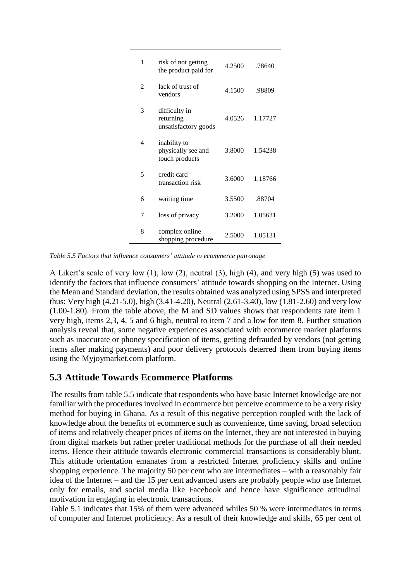| 1              | risk of not getting<br>the product paid for          | 4.2500 | .78640  |
|----------------|------------------------------------------------------|--------|---------|
| $\mathfrak{D}$ | lack of trust of<br>vendors                          | 4.1500 | .98809  |
| 3              | difficulty in<br>returning<br>unsatisfactory goods   | 4.0526 | 1.17727 |
| 4              | inability to<br>physically see and<br>touch products | 3.8000 | 1.54238 |
| 5              | credit card<br>transaction risk                      | 3.6000 | 1.18766 |
| 6              | waiting time                                         | 3.5500 | .88704  |
| 7              | loss of privacy                                      | 3.2000 | 1.05631 |
| 8              | complex online<br>shopping procedure                 | 2.5000 | 1.05131 |

*Table 5.5 Factors that influence consumers' attitude to ecommerce patronage*

A Likert's scale of very low (1), low (2), neutral (3), high (4), and very high (5) was used to identify the factors that influence consumers' attitude towards shopping on the Internet. Using the Mean and Standard deviation, the results obtained was analyzed using SPSS and interpreted thus: Very high (4.21-5.0), high (3.41-4.20), Neutral (2.61-3.40), low (1.81-2.60) and very low (1.00-1.80). From the table above, the M and SD values shows that respondents rate item 1 very high, items 2,3, 4, 5 and 6 high, neutral to item 7 and a low for item 8. Further situation analysis reveal that, some negative experiences associated with ecommerce market platforms such as inaccurate or phoney specification of items, getting defrauded by vendors (not getting items after making payments) and poor delivery protocols deterred them from buying items using the Myjoymarket.com platform.

### **5.3 Attitude Towards Ecommerce Platforms**

The results from table 5.5 indicate that respondents who have basic Internet knowledge are not familiar with the procedures involved in ecommerce but perceive ecommerce to be a very risky method for buying in Ghana. As a result of this negative perception coupled with the lack of knowledge about the benefits of ecommerce such as convenience, time saving, broad selection of items and relatively cheaper prices of items on the Internet, they are not interested in buying from digital markets but rather prefer traditional methods for the purchase of all their needed items. Hence their attitude towards electronic commercial transactions is considerably blunt. This attitude orientation emanates from a restricted Internet proficiency skills and online shopping experience. The majority 50 per cent who are intermediates – with a reasonably fair idea of the Internet – and the 15 per cent advanced users are probably people who use Internet only for emails, and social media like Facebook and hence have significance attitudinal motivation in engaging in electronic transactions.

Table 5.1 indicates that 15% of them were advanced whiles 50 % were intermediates in terms of computer and Internet proficiency. As a result of their knowledge and skills, 65 per cent of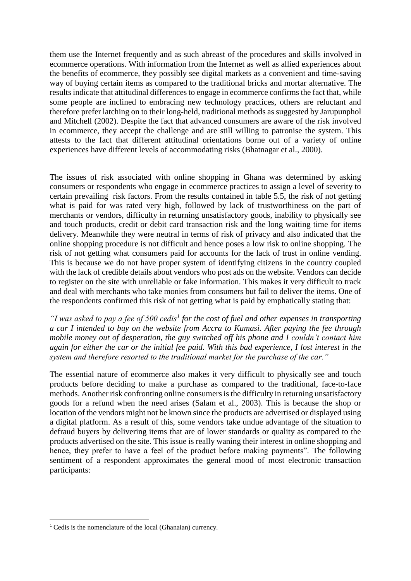them use the Internet frequently and as such abreast of the procedures and skills involved in ecommerce operations. With information from the Internet as well as allied experiences about the benefits of ecommerce, they possibly see digital markets as a convenient and time-saving way of buying certain items as compared to the traditional bricks and mortar alternative. The results indicate that attitudinal differences to engage in ecommerce confirms the fact that, while some people are inclined to embracing new technology practices, others are reluctant and therefore prefer latching on to their long-held, traditional methods as suggested by Jarupunphol and Mitchell [\(2002\)](#page-13-6). Despite the fact that advanced consumers are aware of the risk involved in ecommerce, they accept the challenge and are still willing to patronise the system. This attests to the fact that different attitudinal orientations borne out of a variety of online experiences have different levels of accommodating risks [\(Bhatnagar et al., 2000\)](#page-12-7).

The issues of risk associated with online shopping in Ghana was determined by asking consumers or respondents who engage in ecommerce practices to assign a level of severity to certain prevailing risk factors. From the results contained in table 5.5, the risk of not getting what is paid for was rated very high, followed by lack of trustworthiness on the part of merchants or vendors, difficulty in returning unsatisfactory goods, inability to physically see and touch products, credit or debit card transaction risk and the long waiting time for items delivery. Meanwhile they were neutral in terms of risk of privacy and also indicated that the online shopping procedure is not difficult and hence poses a low risk to online shopping. The risk of not getting what consumers paid for accounts for the lack of trust in online vending. This is because we do not have proper system of identifying citizens in the country coupled with the lack of credible details about vendors who post ads on the website. Vendors can decide to register on the site with unreliable or fake information. This makes it very difficult to track and deal with merchants who take monies from consumers but fail to deliver the items. One of the respondents confirmed this risk of not getting what is paid by emphatically stating that:

"I was asked to pay a fee of 500 cedis<sup>1</sup> for the cost of fuel and other expenses in transporting *a car I intended to buy on the website from Accra to Kumasi. After paying the fee through mobile money out of desperation, the guy switched off his phone and I couldn't contact him again for either the car or the initial fee paid. With this bad experience*, *I lost interest in the system and therefore resorted to the traditional market for the purchase of the car."*

The essential nature of ecommerce also makes it very difficult to physically see and touch products before deciding to make a purchase as compared to the traditional, face-to-face methods. Another risk confronting online consumers is the difficulty in returning unsatisfactory goods for a refund when the need arises [\(Salam et al., 2003\)](#page-13-4). This is because the shop or location of the vendors might not be known since the products are advertised or displayed using a digital platform. As a result of this, some vendors take undue advantage of the situation to defraud buyers by delivering items that are of lower standards or quality as compared to the products advertised on the site. This issue is really waning their interest in online shopping and hence, they prefer to have a feel of the product before making payments". The following sentiment of a respondent approximates the general mood of most electronic transaction participants:

**.** 

<sup>1</sup> Cedis is the nomenclature of the local (Ghanaian) currency.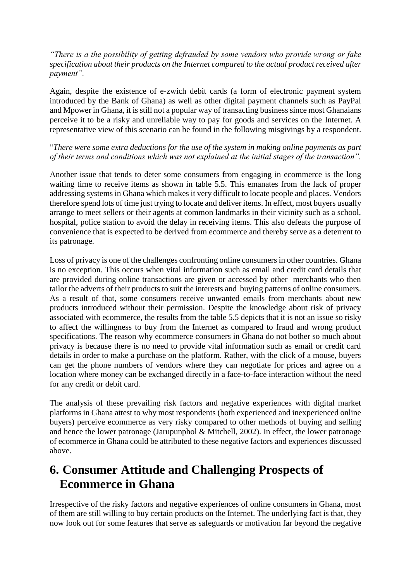#### *"There is a the possibility of getting defrauded by some vendors who provide wrong or fake specification about their products on the Internet compared to the actual product received after payment".*

Again, despite the existence of e-zwich debit cards (a form of electronic payment system introduced by the Bank of Ghana) as well as other digital payment channels such as PayPal and Mpower in Ghana, it is still not a popular way of transacting business since most Ghanaians perceive it to be a risky and unreliable way to pay for goods and services on the Internet. A representative view of this scenario can be found in the following misgivings by a respondent.

#### "*There were some extra deductions for the use of the system in making online payments as part of their terms and conditions which was not explained at the initial stages of the transaction".*

Another issue that tends to deter some consumers from engaging in ecommerce is the long waiting time to receive items as shown in table 5.5. This emanates from the lack of proper addressing systems in Ghana which makes it very difficult to locate people and places. Vendors therefore spend lots of time just trying to locate and deliver items. In effect, most buyers usually arrange to meet sellers or their agents at common landmarks in their vicinity such as a school, hospital, police station to avoid the delay in receiving items. This also defeats the purpose of convenience that is expected to be derived from ecommerce and thereby serve as a deterrent to its patronage.

Loss of privacy is one of the challenges confronting online consumers in other countries. Ghana is no exception. This occurs when vital information such as email and credit card details that are provided during online transactions are given or accessed by other merchants who then tailor the adverts of their products to suit the interests and buying patterns of online consumers. As a result of that, some consumers receive unwanted emails from merchants about new products introduced without their permission. Despite the knowledge about risk of privacy associated with ecommerce, the results from the table 5.5 depicts that it is not an issue so risky to affect the willingness to buy from the Internet as compared to fraud and wrong product specifications. The reason why ecommerce consumers in Ghana do not bother so much about privacy is because there is no need to provide vital information such as email or credit card details in order to make a purchase on the platform. Rather, with the click of a mouse, buyers can get the phone numbers of vendors where they can negotiate for prices and agree on a location where money can be exchanged directly in a face-to-face interaction without the need for any credit or debit card.

The analysis of these prevailing risk factors and negative experiences with digital market platforms in Ghana attest to why most respondents (both experienced and inexperienced online buyers) perceive ecommerce as very risky compared to other methods of buying and selling and hence the lower patronage [\(Jarupunphol & Mitchell, 2002\)](#page-13-6). In effect, the lower patronage of ecommerce in Ghana could be attributed to these negative factors and experiences discussed above.

## **6. Consumer Attitude and Challenging Prospects of Ecommerce in Ghana**

Irrespective of the risky factors and negative experiences of online consumers in Ghana, most of them are still willing to buy certain products on the Internet. The underlying fact is that, they now look out for some features that serve as safeguards or motivation far beyond the negative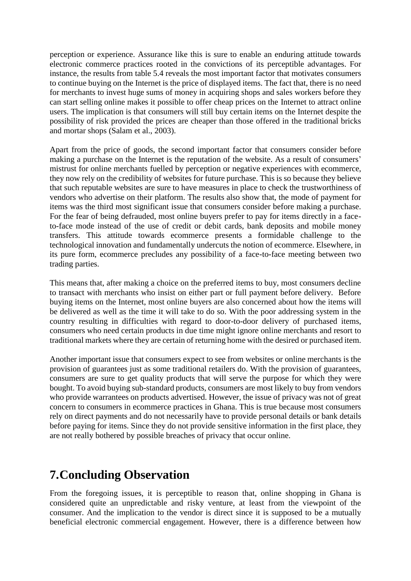perception or experience. Assurance like this is sure to enable an enduring attitude towards electronic commerce practices rooted in the convictions of its perceptible advantages. For instance, the results from table 5.4 reveals the most important factor that motivates consumers to continue buying on the Internet is the price of displayed items. The fact that, there is no need for merchants to invest huge sums of money in acquiring shops and sales workers before they can start selling online makes it possible to offer cheap prices on the Internet to attract online users. The implication is that consumers will still buy certain items on the Internet despite the possibility of risk provided the prices are cheaper than those offered in the traditional bricks and mortar shops [\(Salam et al., 2003\)](#page-13-4).

Apart from the price of goods, the second important factor that consumers consider before making a purchase on the Internet is the reputation of the website. As a result of consumers' mistrust for online merchants fuelled by perception or negative experiences with ecommerce, they now rely on the credibility of websites for future purchase. This is so because they believe that such reputable websites are sure to have measures in place to check the trustworthiness of vendors who advertise on their platform. The results also show that, the mode of payment for items was the third most significant issue that consumers consider before making a purchase. For the fear of being defrauded, most online buyers prefer to pay for items directly in a faceto-face mode instead of the use of credit or debit cards, bank deposits and mobile money transfers. This attitude towards ecommerce presents a formidable challenge to the technological innovation and fundamentally undercuts the notion of ecommerce. Elsewhere, in its pure form, ecommerce precludes any possibility of a face-to-face meeting between two trading parties.

This means that, after making a choice on the preferred items to buy, most consumers decline to transact with merchants who insist on either part or full payment before delivery. Before buying items on the Internet, most online buyers are also concerned about how the items will be delivered as well as the time it will take to do so. With the poor addressing system in the country resulting in difficulties with regard to door-to-door delivery of purchased items, consumers who need certain products in due time might ignore online merchants and resort to traditional markets where they are certain of returning home with the desired or purchased item.

Another important issue that consumers expect to see from websites or online merchants is the provision of guarantees just as some traditional retailers do. With the provision of guarantees, consumers are sure to get quality products that will serve the purpose for which they were bought. To avoid buying sub-standard products, consumers are most likely to buy from vendors who provide warrantees on products advertised. However, the issue of privacy was not of great concern to consumers in ecommerce practices in Ghana. This is true because most consumers rely on direct payments and do not necessarily have to provide personal details or bank details before paying for items. Since they do not provide sensitive information in the first place, they are not really bothered by possible breaches of privacy that occur online.

## **7.Concluding Observation**

From the foregoing issues, it is perceptible to reason that, online shopping in Ghana is considered quite an unpredictable and risky venture, at least from the viewpoint of the consumer. And the implication to the vendor is direct since it is supposed to be a mutually beneficial electronic commercial engagement. However, there is a difference between how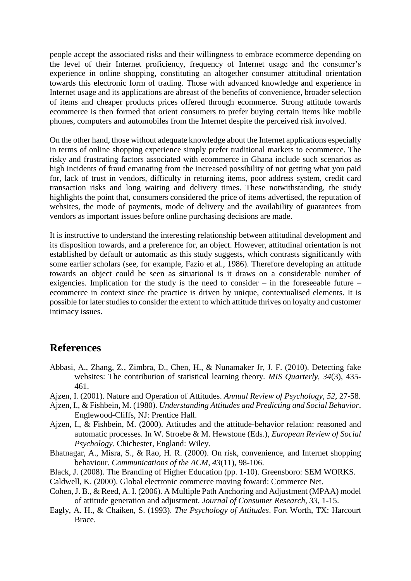people accept the associated risks and their willingness to embrace ecommerce depending on the level of their Internet proficiency, frequency of Internet usage and the consumer's experience in online shopping, constituting an altogether consumer attitudinal orientation towards this electronic form of trading. Those with advanced knowledge and experience in Internet usage and its applications are abreast of the benefits of convenience, broader selection of items and cheaper products prices offered through ecommerce. Strong attitude towards ecommerce is then formed that orient consumers to prefer buying certain items like mobile phones, computers and automobiles from the Internet despite the perceived risk involved.

On the other hand, those without adequate knowledge about the Internet applications especially in terms of online shopping experience simply prefer traditional markets to ecommerce. The risky and frustrating factors associated with ecommerce in Ghana include such scenarios as high incidents of fraud emanating from the increased possibility of not getting what you paid for, lack of trust in vendors, difficulty in returning items, poor address system, credit card transaction risks and long waiting and delivery times. These notwithstanding, the study highlights the point that, consumers considered the price of items advertised, the reputation of websites, the mode of payments, mode of delivery and the availability of guarantees from vendors as important issues before online purchasing decisions are made.

It is instructive to understand the interesting relationship between attitudinal development and its disposition towards, and a preference for, an object. However, attitudinal orientation is not established by default or automatic as this study suggests, which contrasts significantly with some earlier scholars [\(see, for example, Fazio et al., 1986\)](#page-13-15). Therefore developing an attitude towards an object could be seen as situational is it draws on a considerable number of exigencies. Implication for the study is the need to consider – in the foreseeable future – ecommerce in context since the practice is driven by unique, contextualised elements. It is possible for later studies to consider the extent to which attitude thrives on loyalty and customer intimacy issues.

### **References**

- <span id="page-12-0"></span>Abbasi, A., Zhang, Z., Zimbra, D., Chen, H., & Nunamaker Jr, J. F. (2010). Detecting fake websites: The contribution of statistical learning theory. *MIS Quarterly, 34*(3), 435- 461.
- <span id="page-12-5"></span>Ajzen, I. (2001). Nature and Operation of Attitudes. *Annual Review of Psychology, 52*, 27-58.
- <span id="page-12-1"></span>Ajzen, I., & Fishbein, M. (1980). *Understanding Attitudes and Predicting and Social Behavior*. Englewood-Cliffs, NJ: Prentice Hall.
- <span id="page-12-2"></span>Ajzen, I., & Fishbein, M. (2000). Attitudes and the attitude-behavior relation: reasoned and automatic processes. In W. Stroebe & M. Hewstone (Eds.), *European Review of Social Psychology*. Chichester, England: Wiley.
- <span id="page-12-7"></span>Bhatnagar, A., Misra, S., & Rao, H. R. (2000). On risk, convenience, and Internet shopping behaviour. *Communications of the ACM, 43*(11), 98-106.
- <span id="page-12-3"></span>Black, J. (2008). The Branding of Higher Education (pp. 1-10). Greensboro: SEM WORKS.
- <span id="page-12-8"></span>Caldwell, K. (2000). Global electronic commerce moving foward: Commerce Net.
- <span id="page-12-4"></span>Cohen, J. B., & Reed, A. I. (2006). A Multiple Path Anchoring and Adjustment (MPAA) model of attitude generation and adjustment. *Journal of Consumer Research, 33*, 1-15.
- <span id="page-12-6"></span>Eagly, A. H., & Chaiken, S. (1993). *The Psychology of Attitudes*. Fort Worth, TX: Harcourt Brace.